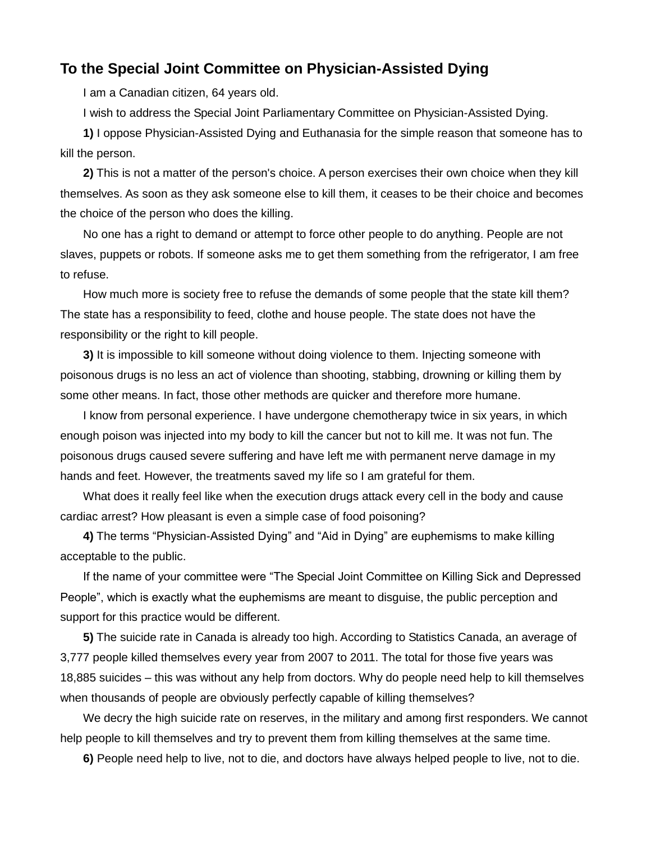## **To the Special Joint Committee on Physician-Assisted Dying**

I am a Canadian citizen, 64 years old.

I wish to address the Special Joint Parliamentary Committee on Physician-Assisted Dying.

**1)** I oppose Physician-Assisted Dying and Euthanasia for the simple reason that someone has to kill the person.

**2)** This is not a matter of the person's choice. A person exercises their own choice when they kill themselves. As soon as they ask someone else to kill them, it ceases to be their choice and becomes the choice of the person who does the killing.

No one has a right to demand or attempt to force other people to do anything. People are not slaves, puppets or robots. If someone asks me to get them something from the refrigerator, I am free to refuse.

How much more is society free to refuse the demands of some people that the state kill them? The state has a responsibility to feed, clothe and house people. The state does not have the responsibility or the right to kill people.

**3)** It is impossible to kill someone without doing violence to them. Injecting someone with poisonous drugs is no less an act of violence than shooting, stabbing, drowning or killing them by some other means. In fact, those other methods are quicker and therefore more humane.

I know from personal experience. I have undergone chemotherapy twice in six years, in which enough poison was injected into my body to kill the cancer but not to kill me. It was not fun. The poisonous drugs caused severe suffering and have left me with permanent nerve damage in my hands and feet. However, the treatments saved my life so I am grateful for them.

What does it really feel like when the execution drugs attack every cell in the body and cause cardiac arrest? How pleasant is even a simple case of food poisoning?

**4)** The terms "Physician-Assisted Dying" and "Aid in Dying" are euphemisms to make killing acceptable to the public.

If the name of your committee were "The Special Joint Committee on Killing Sick and Depressed People", which is exactly what the euphemisms are meant to disguise, the public perception and support for this practice would be different.

**5)** The suicide rate in Canada is already too high. According to Statistics Canada, an average of 3,777 people killed themselves every year from 2007 to 2011. The total for those five years was 18,885 suicides – this was without any help from doctors. Why do people need help to kill themselves when thousands of people are obviously perfectly capable of killing themselves?

We decry the high suicide rate on reserves, in the military and among first responders. We cannot help people to kill themselves and try to prevent them from killing themselves at the same time.

**6)** People need help to live, not to die, and doctors have always helped people to live, not to die.